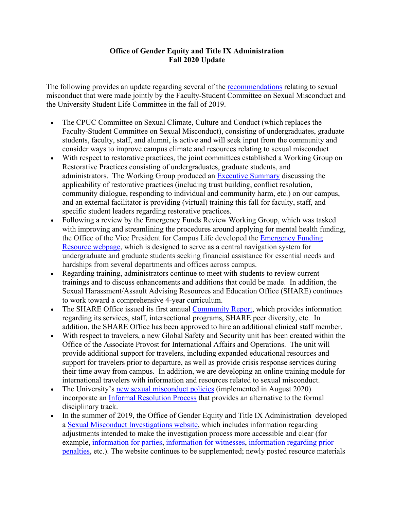## **Office of Gender Equity and Title IX Administration Fall 2020 Update**

The following provides an update regarding several of the [recommendations](https://sexualmisconduct.princeton.edu/sites/sexualmisconduct/files/title-ix-joint-committee-report.pdf) relating to sexual misconduct that were made jointly by the Faculty-Student Committee on Sexual Misconduct and the University Student Life Committee in the fall of 2019.

- The CPUC Committee on Sexual Climate, Culture and Conduct (which replaces the Faculty-Student Committee on Sexual Misconduct), consisting of undergraduates, graduate students, faculty, staff, and alumni, is active and will seek input from the community and consider ways to improve campus climate and resources relating to sexual misconduct
- With respect to restorative practices, the joint committees established a Working Group on Restorative Practices consisting of undergraduates, graduate students, and administrators. The Working Group produced an [Executive Summary](https://sexualmisconduct.princeton.edu/sites/sexualmisconduct/files/restorative_practices_report_summary_spring_2020.pdf) discussing the applicability of restorative practices (including trust building, conflict resolution, community dialogue, responding to individual and community harm, etc.) on our campus, and an external facilitator is providing (virtual) training this fall for faculty, staff, and specific student leaders regarding restorative practices.
- Following a review by the Emergency Funds Review Working Group, which was tasked with improving and streamlining the procedures around applying for mental health funding, the Office of the Vice President for Campus Life developed the [Emergency Funding](https://campuslife.princeton.edu/funding/personal-emergencies-0)  [Resource webpage,](https://campuslife.princeton.edu/funding/personal-emergencies-0) which is designed to serve as a central navigation system for undergraduate and graduate students seeking financial assistance for essential needs and hardships from several departments and offices across campus.
- Regarding training, administrators continue to meet with students to review current trainings and to discuss enhancements and additions that could be made. In addition, the Sexual Harassment/Assault Advising Resources and Education Office (SHARE) continues to work toward a comprehensive 4-year curriculum.
- The SHARE Office issued its first annual [Community Report,](https://share.princeton.edu/announcements/share-community-report-ay18-19) which provides information regarding its services, staff, intersectional programs, SHARE peer diversity, etc. In addition, the SHARE Office has been approved to hire an additional clinical staff member.
- With respect to travelers, a new Global Safety and Security unit has been created within the Office of the Associate Provost for International Affairs and Operations. The unit will provide additional support for travelers, including expanded educational resources and support for travelers prior to departure, as well as provide crisis response services during their time away from campus. In addition, we are developing an online training module for international travelers with information and resources related to sexual misconduct.
- The University's [new sexual misconduct policies](https://sexualmisconduct.princeton.edu/policy) (implemented in August 2020) incorporate an [Informal Resolution Process](https://sexualmisconductinvestigations.princeton.edu/informal-resolution-process) that provides an alternative to the formal disciplinary track.
- In the summer of 2019, the Office of Gender Equity and Title IX Administration developed a [Sexual Misconduct Investigations website,](https://sexualmisconductinvestigations.princeton.edu/) which includes information regarding adjustments intended to make the investigation process more accessible and clear (for example, [information](https://sexualmisconductinvestigations.princeton.edu/information-parties/investigation-process) for parties, [information for witnesses,](https://sexualmisconductinvestigations.princeton.edu/witnesses) [information regarding prior](https://sexualmisconduct.princeton.edu/reports/penalties)  [penalties,](https://sexualmisconduct.princeton.edu/reports/penalties) etc.). The website continues to be supplemented; newly posted resource materials